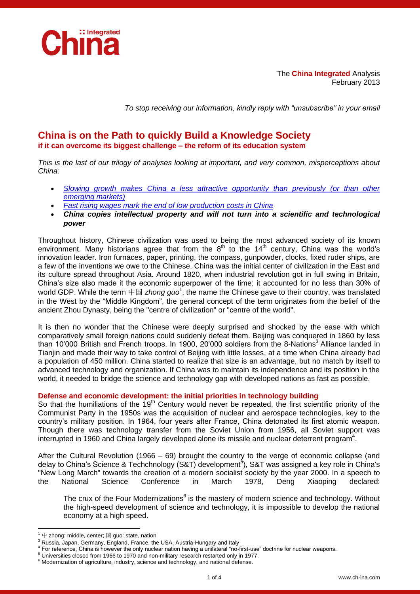

The **China Integrated** Analysis February 2013

*To stop receiving our information, kindly reply with "unsubscribe" in your email*

# **China is on the Path to quickly Build a Knowledge Society if it can overcome its biggest challenge – the reform of its education system**

*This is the last of our trilogy of analyses looking at important, and very common, misperceptions about China:*

- *[Slowing growth makes China a less attractive opportunity than previously \(or than other](http://www.ch-ina.com/pdf/24-9-2012.pdf)  [emerging markets\)](http://www.ch-ina.com/pdf/24-9-2012.pdf)*
- *[Fast rising wages mark the end of low production costs in China](http://www.ch-ina.com/pdf/13-12-2012.pdf)*
- *China copies intellectual property and will not turn into a scientific and technological power*

Throughout history, Chinese civilization was used to being the most advanced society of its known environment. Many historians agree that from the  $8<sup>th</sup>$  to the 14<sup>th</sup> century, China was the world's innovation leader. Iron furnaces, paper, printing, the compass, gunpowder, clocks, fixed ruder ships, are a few of the inventions we owe to the Chinese. China was the initial center of civilization in the East and its culture spread throughout Asia. Around 1820, when industrial revolution got in full swing in Britain, China's size also made it the economic superpower of the time: it accounted for no less than 30% of world GDP. While the term 中国 *zhong guo*<sup>1</sup>, the name the Chinese gave to their country, was translated in the West by the "Middle Kingdom", the general concept of the term originates from the belief of the ancient Zhou Dynasty, being the "centre of civilization" or "centre of the world".

It is then no wonder that the Chinese were deeply surprised and shocked by the ease with which comparatively small foreign nations could suddenly defeat them. Beijing was conquered in 1860 by less than 10'000 British and French troops. In 1900, 20'000 soldiers from the 8-Nations<sup>3</sup> Alliance landed in Tianjin and made their way to take control of Beijing with little losses, at a time when China already had a population of 450 million. China started to realize that size is an advantage, but no match by itself to advanced technology and organization. If China was to maintain its independence and its position in the world, it needed to bridge the science and technology gap with developed nations as fast as possible.

### **Defense and economic development: the initial priorities in technology building**

So that the humiliations of the  $19<sup>th</sup>$  Century would never be repeated, the first scientific priority of the Communist Party in the 1950s was the acquisition of nuclear and aerospace technologies, key to the country's military position. In 1964, four years after France, China detonated its first atomic weapon. Though there was technology transfer from the Soviet Union from 1956, all Soviet support was interrupted in 1960 and China largely developed alone its missile and nuclear deterrent program<sup>4</sup>.

After the Cultural Revolution (1966 – 69) brought the country to the verge of economic collapse (and delay to China's Science & Techchnology (S&T) development<sup>5</sup>), S&T was assigned a key role in China's "New Long March" towards the creation of a modern socialist society by the year 2000. In a speech to the National Science Conference in March 1978, Deng Xiaoping declared:

The crux of the Four Modernizations<sup>6</sup> is the mastery of modern science and technology. Without the high-speed development of science and technology, it is impossible to develop the national economy at a high speed.

-

中 zhong: middle, center; 国 guo: state, nation

<sup>&</sup>lt;sup>3</sup> Russia, Japan, Germany, England, France, the USA, Austria-Hungary and Italy

<sup>4</sup> For reference, China is however the only nuclear nation having a unilateral "no-first-use" doctrine for nuclear weapons.

<sup>5</sup> Universities closed from 1966 to 1970 and non-military research restarted only in 1977.

<sup>&</sup>lt;sup>6</sup> Modernization of agriculture, industry, science and technology, and national defense.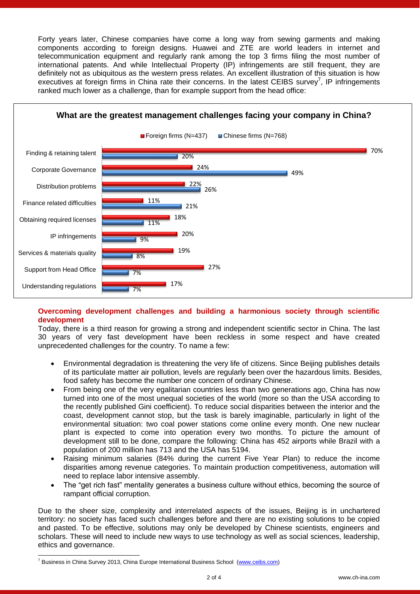Forty years later, Chinese companies have come a long way from sewing garments and making components according to foreign designs. Huawei and ZTE are world leaders in internet and telecommunication equipment and regularly rank among the top 3 firms filing the most number of international patents. And while Intellectual Property (IP) infringements are still frequent, they are definitely not as ubiquitous as the western press relates. An excellent illustration of this situation is how executives at foreign firms in China rate their concerns. In the latest CEIBS survey<sup>7</sup>, IP infringements ranked much lower as a challenge, than for example support from the head office:



## **Overcoming development challenges and building a harmonious society through scientific development**

Today, there is a third reason for growing a strong and independent scientific sector in China. The last 30 years of very fast development have been reckless in some respect and have created unprecedented challenges for the country. To name a few:

- Environmental degradation is threatening the very life of citizens. Since Beijing publishes details of its particulate matter air pollution, levels are regularly been over the hazardous limits. Besides, food safety has become the number one concern of ordinary Chinese.
- From being one of the very egalitarian countries less than two generations ago, China has now turned into one of the most unequal societies of the world (more so than the USA according to the recently published Gini coefficient). To reduce social disparities between the interior and the coast, development cannot stop, but the task is barely imaginable, particularly in light of the environmental situation: two coal power stations come online every month. One new nuclear plant is expected to come into operation every two months. To picture the amount of development still to be done, compare the following: China has 452 airports while Brazil with a population of 200 million has 713 and the USA has 5194.
- Raising minimum salaries (84% during the current Five Year Plan) to reduce the income disparities among revenue categories. To maintain production competitiveness, automation will need to replace labor intensive assembly.
- The "get rich fast" mentality generates a business culture without ethics, becoming the source of rampant official corruption.

Due to the sheer size, complexity and interrelated aspects of the issues, Beijing is in unchartered territory: no society has faced such challenges before and there are no existing solutions to be copied and pasted. To be effective, solutions may only be developed by Chinese scientists, engineers and scholars. These will need to include new ways to use technology as well as social sciences, leadership, ethics and governance.

-

<sup>&</sup>lt;sup>7</sup> Business in China Survey 2013, China Europe International Business School [\(www.ceibs.com\)](http://www.ceibs.com/)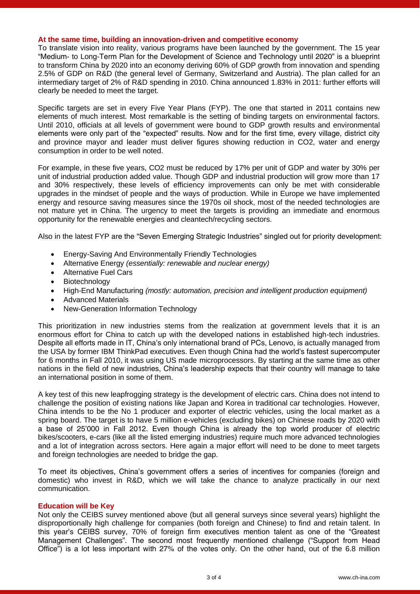#### **At the same time, building an innovation-driven and competitive economy**

To translate vision into reality, various programs have been launched by the government. The 15 year "Medium- to Long-Term Plan for the Development of Science and Technology until 2020" is a blueprint to transform China by 2020 into an economy deriving 60% of GDP growth from innovation and spending 2.5% of GDP on R&D (the general level of Germany, Switzerland and Austria). The plan called for an intermediary target of 2% of R&D spending in 2010. China announced 1.83% in 2011: further efforts will clearly be needed to meet the target.

Specific targets are set in every Five Year Plans (FYP). The one that started in 2011 contains new elements of much interest. Most remarkable is the setting of binding targets on environmental factors. Until 2010, officials at all levels of government were bound to GDP growth results and environmental elements were only part of the "expected" results. Now and for the first time, every village, district city and province mayor and leader must deliver figures showing reduction in CO2, water and energy consumption in order to be well noted.

For example, in these five years, CO2 must be reduced by 17% per unit of GDP and water by 30% per unit of industrial production added value. Though GDP and industrial production will grow more than 17 and 30% respectively, these levels of efficiency improvements can only be met with considerable upgrades in the mindset of people and the ways of production. While in Europe we have implemented energy and resource saving measures since the 1970s oil shock, most of the needed technologies are not mature yet in China. The urgency to meet the targets is providing an immediate and enormous opportunity for the renewable energies and cleantech/recycling sectors.

Also in the latest FYP are the "Seven Emerging Strategic Industries" singled out for priority development:

- Energy-Saving And Environmentally Friendly Technologies
- Alternative Energy *(essentially: renewable and nuclear energy)*
- Alternative Fuel Cars
- Biotechnology
- High-End Manufacturing *(mostly: automation, precision and intelligent production equipment)*
- Advanced Materials
- New-Generation Information Technology

This prioritization in new industries stems from the realization at government levels that it is an enormous effort for China to catch up with the developed nations in established high-tech industries. Despite all efforts made in IT, China's only international brand of PCs, Lenovo, is actually managed from the USA by former IBM ThinkPad executives. Even though China had the world's fastest supercomputer for 6 months in Fall 2010, it was using US made microprocessors. By starting at the same time as other nations in the field of new industries, China's leadership expects that their country will manage to take an international position in some of them.

A key test of this new leapfrogging strategy is the development of electric cars. China does not intend to challenge the position of existing nations like Japan and Korea in traditional car technologies. However, China intends to be the No 1 producer and exporter of electric vehicles, using the local market as a spring board. The target is to have 5 million e-vehicles (excluding bikes) on Chinese roads by 2020 with a base of 25'000 in Fall 2012. Even though China is already the top world producer of electric bikes/scooters, e-cars (like all the listed emerging industries) require much more advanced technologies and a lot of integration across sectors. Here again a major effort will need to be done to meet targets and foreign technologies are needed to bridge the gap.

To meet its objectives, China's government offers a series of incentives for companies (foreign and domestic) who invest in R&D, which we will take the chance to analyze practically in our next communication.

#### **Education will be Key**

Not only the CEIBS survey mentioned above (but all general surveys since several years) highlight the disproportionally high challenge for companies (both foreign and Chinese) to find and retain talent. In this year's CEIBS survey, 70% of foreign firm executives mention talent as one of the "Greatest Management Challenges". The second most frequently mentioned challenge ("Support from Head Office") is a lot less important with 27% of the votes only. On the other hand, out of the 6.8 million